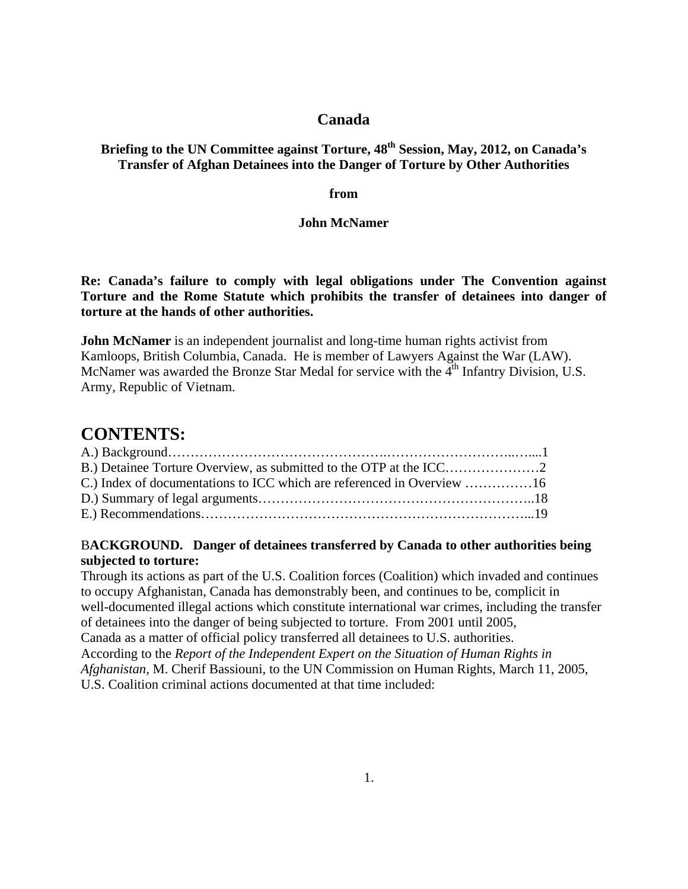# **Canada**

# **Briefing to the UN Committee against Torture, 48th Session, May, 2012, on Canada's Transfer of Afghan Detainees into the Danger of Torture by Other Authorities**

**from** 

### **John McNamer**

**Re: Canada's failure to comply with legal obligations under The Convention against Torture and the Rome Statute which prohibits the transfer of detainees into danger of torture at the hands of other authorities.** 

**John McNamer** is an independent journalist and long-time human rights activist from Kamloops, British Columbia, Canada. He is member of Lawyers Against the War (LAW). McNamer was awarded the Bronze Star Medal for service with the 4<sup>th</sup> Infantry Division, U.S. Army, Republic of Vietnam.

# **CONTENTS:**

## B**ACKGROUND. Danger of detainees transferred by Canada to other authorities being subjected to torture:**

Through its actions as part of the U.S. Coalition forces (Coalition) which invaded and continues to occupy Afghanistan, Canada has demonstrably been, and continues to be, complicit in well-documented illegal actions which constitute international war crimes, including the transfer of detainees into the danger of being subjected to torture. From 2001 until 2005,

Canada as a matter of official policy transferred all detainees to U.S. authorities.

According to the *Report of the Independent Expert on the Situation of Human Rights in Afghanistan,* M. Cherif Bassiouni, to the UN Commission on Human Rights, March 11, 2005, U.S. Coalition criminal actions documented at that time included: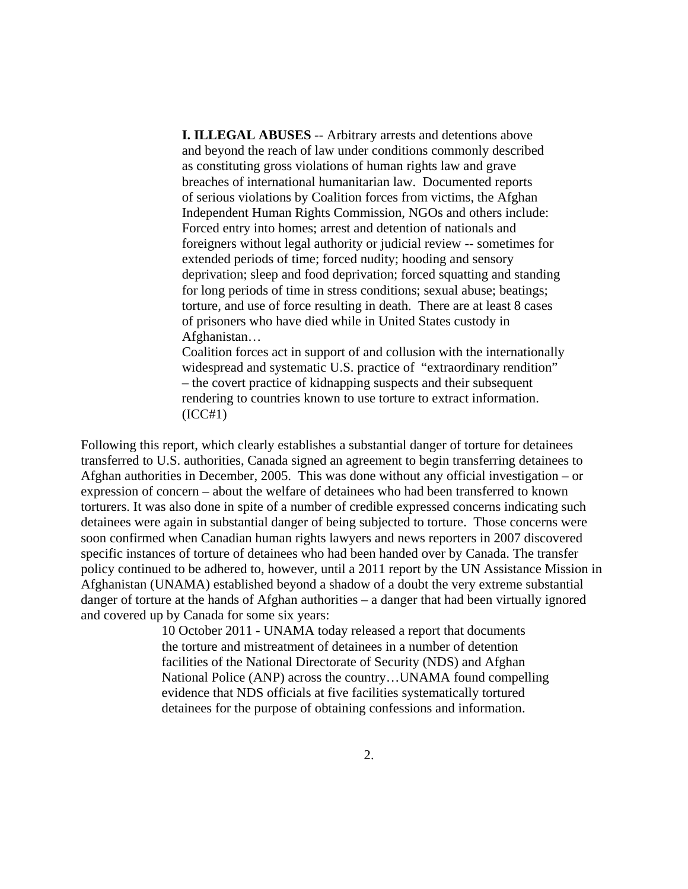**I. ILLEGAL ABUSES** -- Arbitrary arrests and detentions above and beyond the reach of law under conditions commonly described as constituting gross violations of human rights law and grave breaches of international humanitarian law. Documented reports of serious violations by Coalition forces from victims, the Afghan Independent Human Rights Commission, NGOs and others include: Forced entry into homes; arrest and detention of nationals and foreigners without legal authority or judicial review -- sometimes for extended periods of time; forced nudity; hooding and sensory deprivation; sleep and food deprivation; forced squatting and standing for long periods of time in stress conditions; sexual abuse; beatings; torture, and use of force resulting in death. There are at least 8 cases of prisoners who have died while in United States custody in Afghanistan…

 Coalition forces act in support of and collusion with the internationally widespread and systematic U.S. practice of "extraordinary rendition" – the covert practice of kidnapping suspects and their subsequent rendering to countries known to use torture to extract information.  $(ICC#1)$ 

Following this report, which clearly establishes a substantial danger of torture for detainees transferred to U.S. authorities, Canada signed an agreement to begin transferring detainees to Afghan authorities in December, 2005. This was done without any official investigation – or expression of concern – about the welfare of detainees who had been transferred to known torturers. It was also done in spite of a number of credible expressed concerns indicating such detainees were again in substantial danger of being subjected to torture. Those concerns were soon confirmed when Canadian human rights lawyers and news reporters in 2007 discovered specific instances of torture of detainees who had been handed over by Canada. The transfer policy continued to be adhered to, however, until a 2011 report by the UN Assistance Mission in Afghanistan (UNAMA) established beyond a shadow of a doubt the very extreme substantial danger of torture at the hands of Afghan authorities – a danger that had been virtually ignored and covered up by Canada for some six years:

> 10 October 2011 - UNAMA today released a report that documents the torture and mistreatment of detainees in a number of detention facilities of the National Directorate of Security (NDS) and Afghan National Police (ANP) across the country…UNAMA found compelling evidence that NDS officials at five facilities systematically tortured detainees for the purpose of obtaining confessions and information.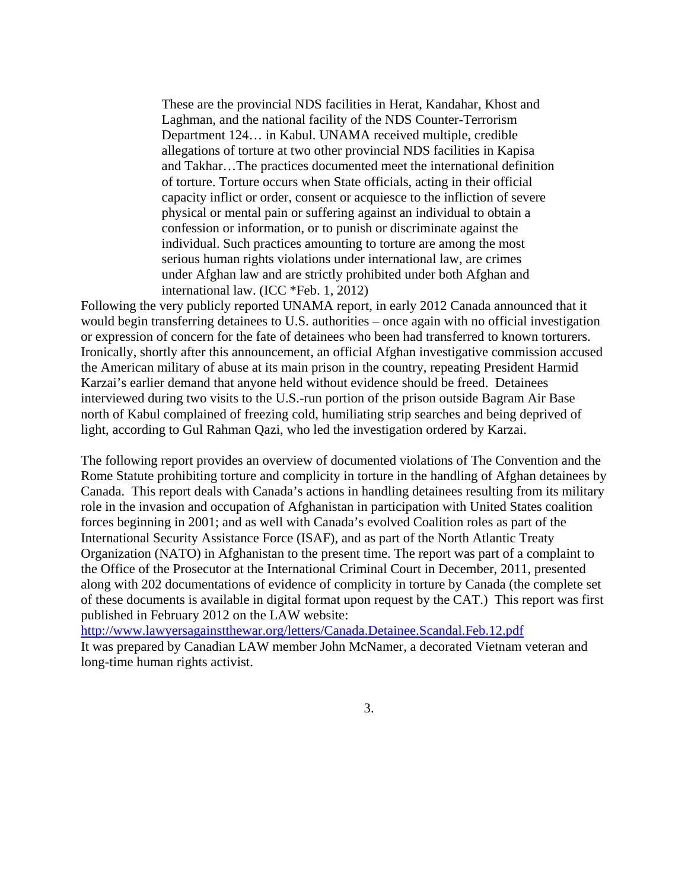These are the provincial NDS facilities in Herat, Kandahar, Khost and Laghman, and the national facility of the NDS Counter-Terrorism Department 124… in Kabul. UNAMA received multiple, credible allegations of torture at two other provincial NDS facilities in Kapisa and Takhar…The practices documented meet the international definition of torture. Torture occurs when State officials, acting in their official capacity inflict or order, consent or acquiesce to the infliction of severe physical or mental pain or suffering against an individual to obtain a confession or information, or to punish or discriminate against the individual. Such practices amounting to torture are among the most serious human rights violations under international law, are crimes under Afghan law and are strictly prohibited under both Afghan and international law. (ICC \*Feb. 1, 2012)

Following the very publicly reported UNAMA report, in early 2012 Canada announced that it would begin transferring detainees to U.S. authorities – once again with no official investigation or expression of concern for the fate of detainees who been had transferred to known torturers. Ironically, shortly after this announcement, an official Afghan investigative commission accused the American military of abuse at its main prison in the country, repeating President Harmid Karzai's earlier demand that anyone held without evidence should be freed. Detainees interviewed during two visits to the U.S.-run portion of the prison outside Bagram Air Base north of Kabul complained of freezing cold, humiliating strip searches and being deprived of light, according to Gul Rahman Qazi, who led the investigation ordered by Karzai.

The following report provides an overview of documented violations of The Convention and the Rome Statute prohibiting torture and complicity in torture in the handling of Afghan detainees by Canada. This report deals with Canada's actions in handling detainees resulting from its military role in the invasion and occupation of Afghanistan in participation with United States coalition forces beginning in 2001; and as well with Canada's evolved Coalition roles as part of the International Security Assistance Force (ISAF), and as part of the North Atlantic Treaty Organization (NATO) in Afghanistan to the present time. The report was part of a complaint to the Office of the Prosecutor at the International Criminal Court in December, 2011, presented along with 202 documentations of evidence of complicity in torture by Canada (the complete set of these documents is available in digital format upon request by the CAT.) This report was first published in February 2012 on the LAW website:

<http://www.lawyersagainstthewar.org/letters/Canada.Detainee.Scandal.Feb.12.pdf> It was prepared by Canadian LAW member John McNamer, a decorated Vietnam veteran and long-time human rights activist.

3.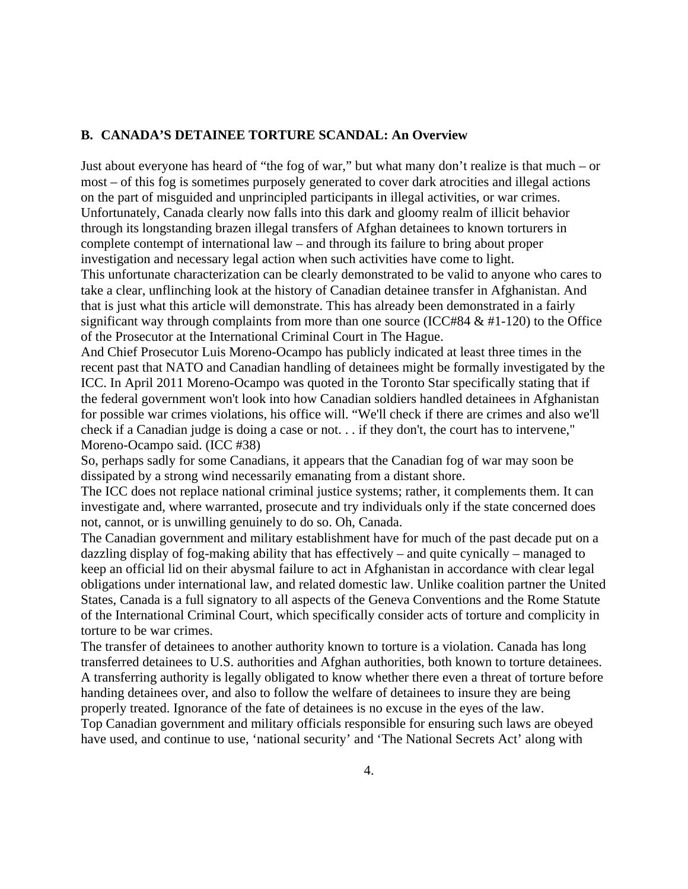### **B. CANADA'S DETAINEE TORTURE SCANDAL: An Overview**

Just about everyone has heard of "the fog of war," but what many don't realize is that much – or most – of this fog is sometimes purposely generated to cover dark atrocities and illegal actions on the part of misguided and unprincipled participants in illegal activities, or war crimes. Unfortunately, Canada clearly now falls into this dark and gloomy realm of illicit behavior through its longstanding brazen illegal transfers of Afghan detainees to known torturers in complete contempt of international law – and through its failure to bring about proper investigation and necessary legal action when such activities have come to light. This unfortunate characterization can be clearly demonstrated to be valid to anyone who cares to take a clear, unflinching look at the history of Canadian detainee transfer in Afghanistan. And that is just what this article will demonstrate. This has already been demonstrated in a fairly significant way through complaints from more than one source (ICC#84  $&$  #1-120) to the Office of the Prosecutor at the International Criminal Court in The Hague.

And Chief Prosecutor Luis Moreno-Ocampo has publicly indicated at least three times in the recent past that NATO and Canadian handling of detainees might be formally investigated by the ICC. In April 2011 Moreno-Ocampo was quoted in the Toronto Star specifically stating that if the federal government won't look into how Canadian soldiers handled detainees in Afghanistan for possible war crimes violations, his office will. "We'll check if there are crimes and also we'll check if a Canadian judge is doing a case or not. . . if they don't, the court has to intervene," Moreno-Ocampo said. (ICC #38)

So, perhaps sadly for some Canadians, it appears that the Canadian fog of war may soon be dissipated by a strong wind necessarily emanating from a distant shore.

The ICC does not replace national criminal justice systems; rather, it complements them. It can investigate and, where warranted, prosecute and try individuals only if the state concerned does not, cannot, or is unwilling genuinely to do so. Oh, Canada.

The Canadian government and military establishment have for much of the past decade put on a dazzling display of fog-making ability that has effectively – and quite cynically – managed to keep an official lid on their abysmal failure to act in Afghanistan in accordance with clear legal obligations under international law, and related domestic law. Unlike coalition partner the United States, Canada is a full signatory to all aspects of the Geneva Conventions and the Rome Statute of the International Criminal Court, which specifically consider acts of torture and complicity in torture to be war crimes.

The transfer of detainees to another authority known to torture is a violation. Canada has long transferred detainees to U.S. authorities and Afghan authorities, both known to torture detainees. A transferring authority is legally obligated to know whether there even a threat of torture before handing detainees over, and also to follow the welfare of detainees to insure they are being properly treated. Ignorance of the fate of detainees is no excuse in the eyes of the law.

Top Canadian government and military officials responsible for ensuring such laws are obeyed have used, and continue to use, 'national security' and 'The National Secrets Act' along with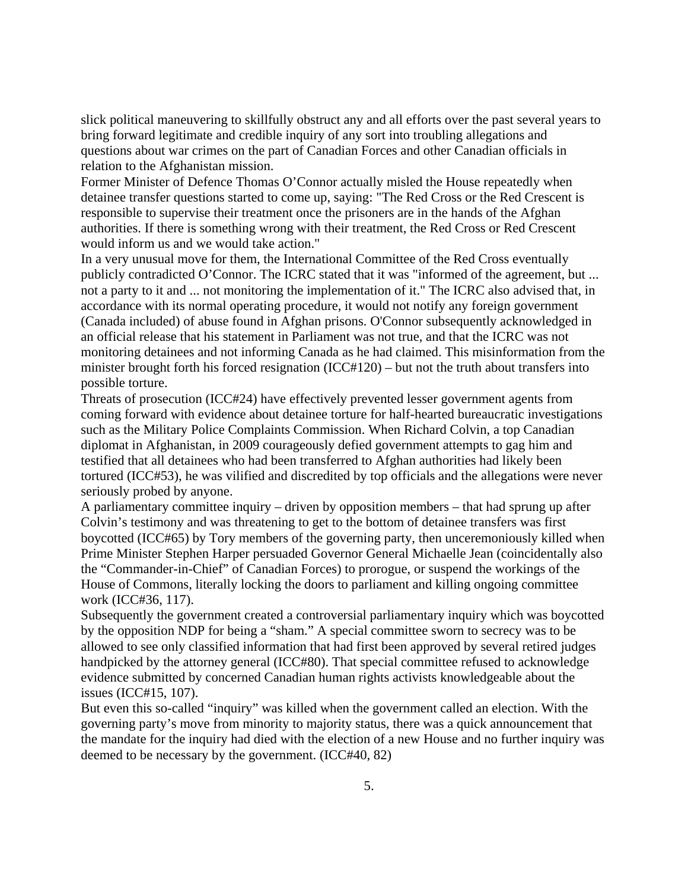slick political maneuvering to skillfully obstruct any and all efforts over the past several years to bring forward legitimate and credible inquiry of any sort into troubling allegations and questions about war crimes on the part of Canadian Forces and other Canadian officials in relation to the Afghanistan mission.

Former Minister of Defence Thomas O'Connor actually misled the House repeatedly when detainee transfer questions started to come up, saying: "The Red Cross or the Red Crescent is responsible to supervise their treatment once the prisoners are in the hands of the Afghan authorities. If there is something wrong with their treatment, the Red Cross or Red Crescent would inform us and we would take action."

In a very unusual move for them, the International Committee of the Red Cross eventually publicly contradicted O'Connor. The ICRC stated that it was "informed of the agreement, but ... not a party to it and ... not monitoring the implementation of it." The ICRC also advised that, in accordance with its normal operating procedure, it would not notify any foreign government (Canada included) of abuse found in Afghan prisons. O'Connor subsequently acknowledged in an official release that his statement in Parliament was not true, and that the ICRC was not monitoring detainees and not informing Canada as he had claimed. This misinformation from the minister brought forth his forced resignation (ICC#120) – but not the truth about transfers into possible torture.

Threats of prosecution (ICC#24) have effectively prevented lesser government agents from coming forward with evidence about detainee torture for half-hearted bureaucratic investigations such as the Military Police Complaints Commission. When Richard Colvin, a top Canadian diplomat in Afghanistan, in 2009 courageously defied government attempts to gag him and testified that all detainees who had been transferred to Afghan authorities had likely been tortured (ICC#53), he was vilified and discredited by top officials and the allegations were never seriously probed by anyone.

A parliamentary committee inquiry – driven by opposition members – that had sprung up after Colvin's testimony and was threatening to get to the bottom of detainee transfers was first boycotted (ICC#65) by Tory members of the governing party, then unceremoniously killed when Prime Minister Stephen Harper persuaded Governor General Michaelle Jean (coincidentally also the "Commander-in-Chief" of Canadian Forces) to prorogue, or suspend the workings of the House of Commons, literally locking the doors to parliament and killing ongoing committee work (ICC#36, 117).

Subsequently the government created a controversial parliamentary inquiry which was boycotted by the opposition NDP for being a "sham." A special committee sworn to secrecy was to be allowed to see only classified information that had first been approved by several retired judges handpicked by the attorney general (ICC#80). That special committee refused to acknowledge evidence submitted by concerned Canadian human rights activists knowledgeable about the issues (ICC#15, 107).

But even this so-called "inquiry" was killed when the government called an election. With the governing party's move from minority to majority status, there was a quick announcement that the mandate for the inquiry had died with the election of a new House and no further inquiry was deemed to be necessary by the government. (ICC#40, 82)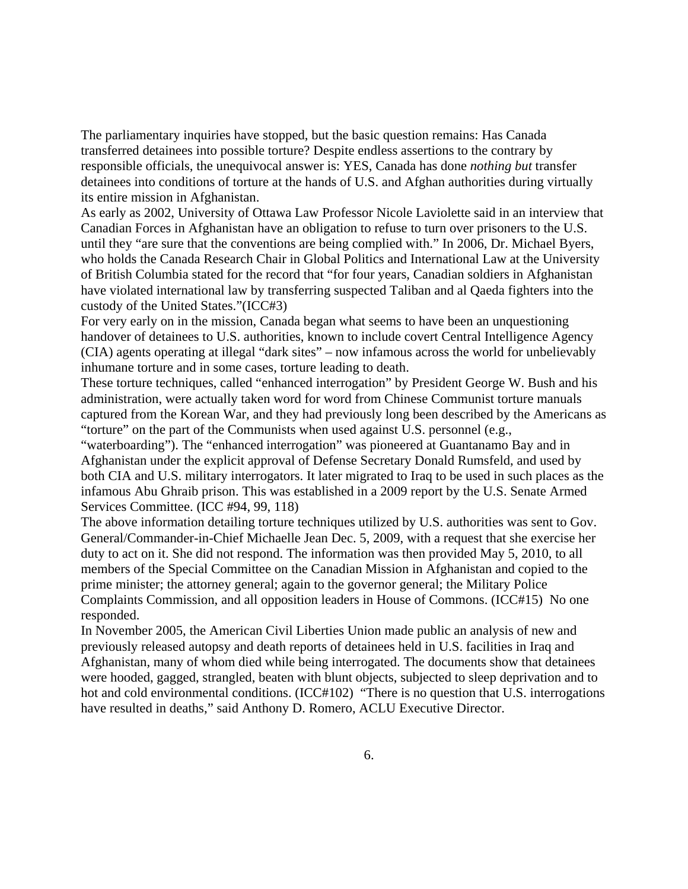The parliamentary inquiries have stopped, but the basic question remains: Has Canada transferred detainees into possible torture? Despite endless assertions to the contrary by responsible officials, the unequivocal answer is: YES, Canada has done *nothing but* transfer detainees into conditions of torture at the hands of U.S. and Afghan authorities during virtually its entire mission in Afghanistan.

As early as 2002, University of Ottawa Law Professor Nicole Laviolette said in an interview that Canadian Forces in Afghanistan have an obligation to refuse to turn over prisoners to the U.S. until they "are sure that the conventions are being complied with." In 2006, Dr. Michael Byers, who holds the Canada Research Chair in Global Politics and International Law at the University of British Columbia stated for the record that "for four years, Canadian soldiers in Afghanistan have violated international law by transferring suspected Taliban and al Qaeda fighters into the custody of the United States."(ICC#3)

For very early on in the mission, Canada began what seems to have been an unquestioning handover of detainees to U.S. authorities, known to include covert Central Intelligence Agency (CIA) agents operating at illegal "dark sites" – now infamous across the world for unbelievably inhumane torture and in some cases, torture leading to death.

These torture techniques, called "enhanced interrogation" by President George W. Bush and his administration, were actually taken word for word from Chinese Communist torture manuals captured from the Korean War, and they had previously long been described by the Americans as "torture" on the part of the Communists when used against U.S. personnel (e.g.,

"waterboarding"). The "enhanced interrogation" was pioneered at Guantanamo Bay and in Afghanistan under the explicit approval of Defense Secretary Donald Rumsfeld, and used by both CIA and U.S. military interrogators. It later migrated to Iraq to be used in such places as the infamous Abu Ghraib prison. This was established in a 2009 report by the U.S. Senate Armed Services Committee. (ICC #94, 99, 118)

The above information detailing torture techniques utilized by U.S. authorities was sent to Gov. General/Commander-in-Chief Michaelle Jean Dec. 5, 2009, with a request that she exercise her duty to act on it. She did not respond. The information was then provided May 5, 2010, to all members of the Special Committee on the Canadian Mission in Afghanistan and copied to the prime minister; the attorney general; again to the governor general; the Military Police Complaints Commission, and all opposition leaders in House of Commons. (ICC#15) No one responded.

In November 2005, the American Civil Liberties Union made public an analysis of new and previously released autopsy and death reports of detainees held in U.S. facilities in Iraq and Afghanistan, many of whom died while being interrogated. The documents show that detainees were hooded, gagged, strangled, beaten with blunt objects, subjected to sleep deprivation and to hot and cold environmental conditions. (ICC#102) "There is no question that U.S. interrogations have resulted in deaths," said Anthony D. Romero, ACLU Executive Director.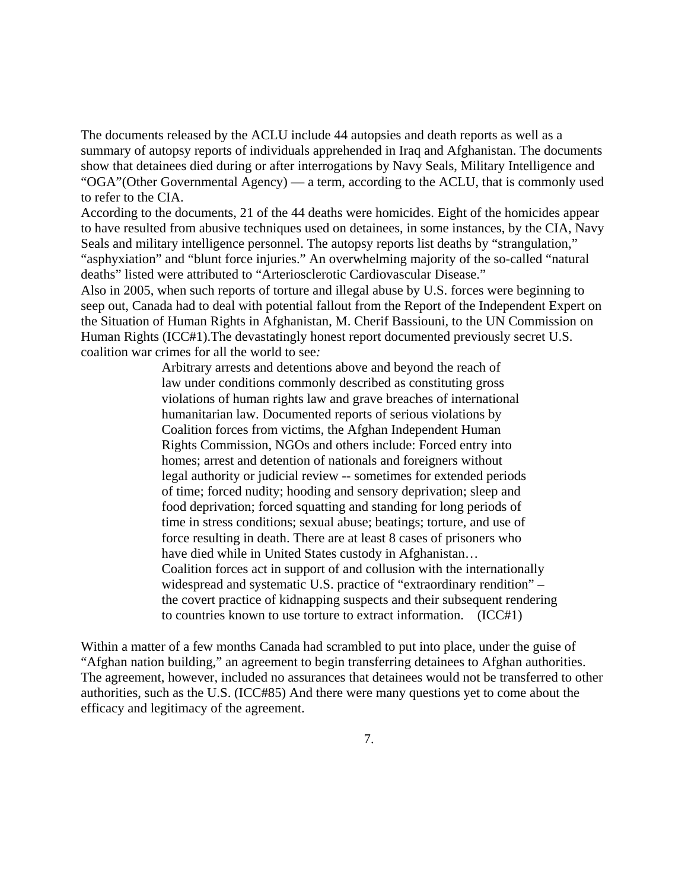The documents released by the ACLU include 44 autopsies and death reports as well as a summary of autopsy reports of individuals apprehended in Iraq and Afghanistan. The documents show that detainees died during or after interrogations by Navy Seals, Military Intelligence and "OGA"(Other Governmental Agency) — a term, according to the ACLU, that is commonly used to refer to the CIA.

According to the documents, 21 of the 44 deaths were homicides. Eight of the homicides appear to have resulted from abusive techniques used on detainees, in some instances, by the CIA, Navy Seals and military intelligence personnel. The autopsy reports list deaths by "strangulation," "asphyxiation" and "blunt force injuries." An overwhelming majority of the so-called "natural deaths" listed were attributed to "Arteriosclerotic Cardiovascular Disease." Also in 2005, when such reports of torture and illegal abuse by U.S. forces were beginning to seep out, Canada had to deal with potential fallout from the Report of the Independent Expert on the Situation of Human Rights in Afghanistan, M. Cherif Bassiouni, to the UN Commission on

Human Rights (ICC#1).The devastatingly honest report documented previously secret U.S. coalition war crimes for all the world to see*:* 

Arbitrary arrests and detentions above and beyond the reach of law under conditions commonly described as constituting gross violations of human rights law and grave breaches of international humanitarian law. Documented reports of serious violations by Coalition forces from victims, the Afghan Independent Human Rights Commission, NGOs and others include: Forced entry into homes; arrest and detention of nationals and foreigners without legal authority or judicial review -- sometimes for extended periods of time; forced nudity; hooding and sensory deprivation; sleep and food deprivation; forced squatting and standing for long periods of time in stress conditions; sexual abuse; beatings; torture, and use of force resulting in death. There are at least 8 cases of prisoners who have died while in United States custody in Afghanistan… Coalition forces act in support of and collusion with the internationally widespread and systematic U.S. practice of "extraordinary rendition" – the covert practice of kidnapping suspects and their subsequent rendering to countries known to use torture to extract information. (ICC#1)

Within a matter of a few months Canada had scrambled to put into place, under the guise of "Afghan nation building," an agreement to begin transferring detainees to Afghan authorities. The agreement, however, included no assurances that detainees would not be transferred to other authorities, such as the U.S. (ICC#85) And there were many questions yet to come about the efficacy and legitimacy of the agreement.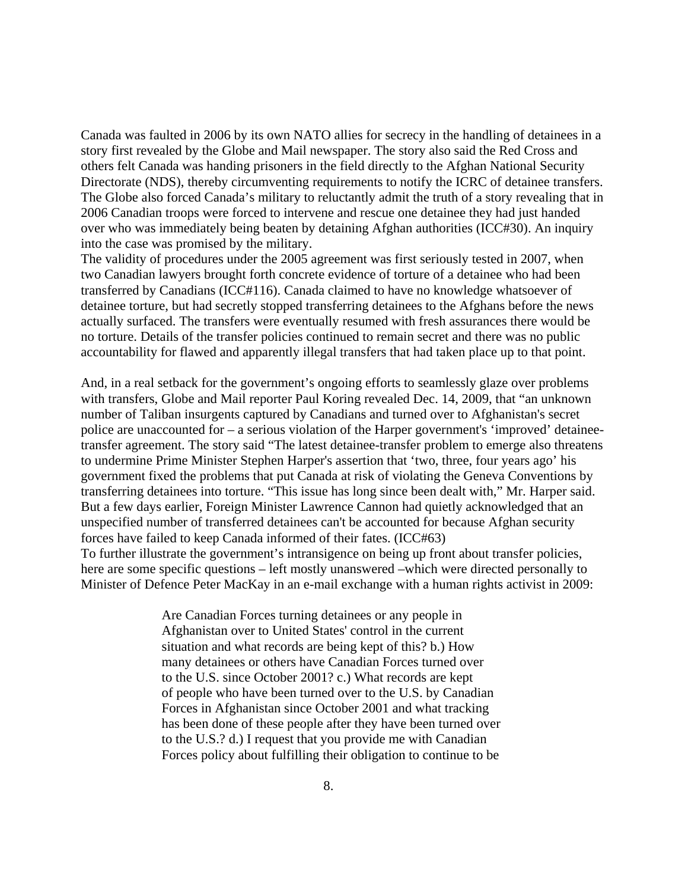Canada was faulted in 2006 by its own NATO allies for secrecy in the handling of detainees in a story first revealed by the Globe and Mail newspaper. The story also said the Red Cross and others felt Canada was handing prisoners in the field directly to the Afghan National Security Directorate (NDS), thereby circumventing requirements to notify the ICRC of detainee transfers. The Globe also forced Canada's military to reluctantly admit the truth of a story revealing that in 2006 Canadian troops were forced to intervene and rescue one detainee they had just handed over who was immediately being beaten by detaining Afghan authorities (ICC#30). An inquiry into the case was promised by the military.

The validity of procedures under the 2005 agreement was first seriously tested in 2007, when two Canadian lawyers brought forth concrete evidence of torture of a detainee who had been transferred by Canadians (ICC#116). Canada claimed to have no knowledge whatsoever of detainee torture, but had secretly stopped transferring detainees to the Afghans before the news actually surfaced. The transfers were eventually resumed with fresh assurances there would be no torture. Details of the transfer policies continued to remain secret and there was no public accountability for flawed and apparently illegal transfers that had taken place up to that point.

And, in a real setback for the government's ongoing efforts to seamlessly glaze over problems with transfers, Globe and Mail reporter Paul Koring revealed Dec. 14, 2009, that "an unknown number of Taliban insurgents captured by Canadians and turned over to Afghanistan's secret police are unaccounted for – a serious violation of the Harper government's 'improved' detaineetransfer agreement. The story said "The latest detainee-transfer problem to emerge also threatens to undermine Prime Minister Stephen Harper's assertion that 'two, three, four years ago' his government fixed the problems that put Canada at risk of violating the Geneva Conventions by transferring detainees into torture. "This issue has long since been dealt with," Mr. Harper said. But a few days earlier, Foreign Minister Lawrence Cannon had quietly acknowledged that an unspecified number of transferred detainees can't be accounted for because Afghan security forces have failed to keep Canada informed of their fates. (ICC#63) To further illustrate the government's intransigence on being up front about transfer policies, here are some specific questions – left mostly unanswered –which were directed personally to Minister of Defence Peter MacKay in an e-mail exchange with a human rights activist in 2009:

> Are Canadian Forces turning detainees or any people in Afghanistan over to United States' control in the current situation and what records are being kept of this? b.) How many detainees or others have Canadian Forces turned over to the U.S. since October 2001? c.) What records are kept of people who have been turned over to the U.S. by Canadian Forces in Afghanistan since October 2001 and what tracking has been done of these people after they have been turned over to the U.S.? d.) I request that you provide me with Canadian Forces policy about fulfilling their obligation to continue to be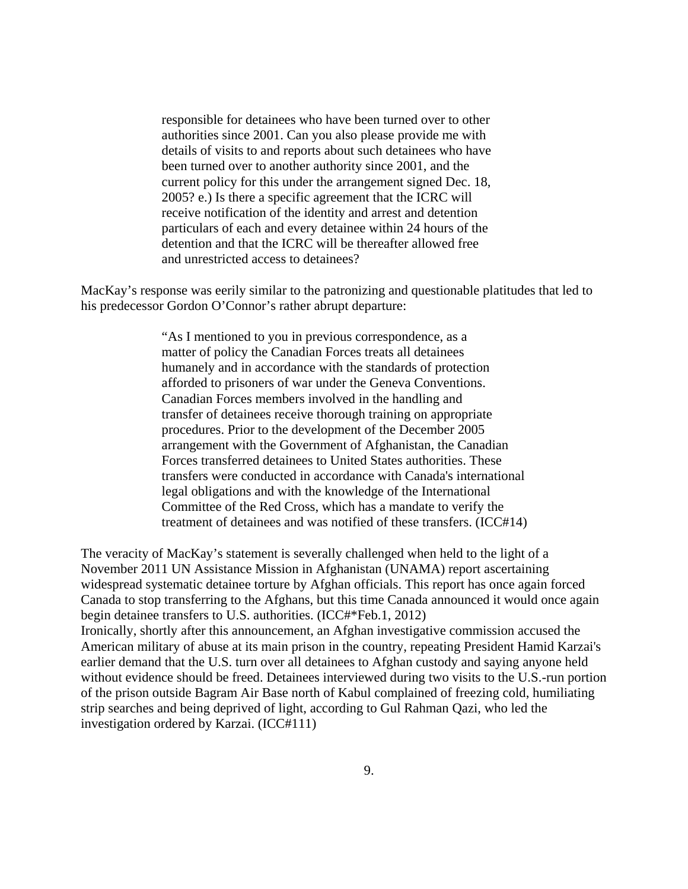responsible for detainees who have been turned over to other authorities since 2001. Can you also please provide me with details of visits to and reports about such detainees who have been turned over to another authority since 2001, and the current policy for this under the arrangement signed Dec. 18, 2005? e.) Is there a specific agreement that the ICRC will receive notification of the identity and arrest and detention particulars of each and every detainee within 24 hours of the detention and that the ICRC will be thereafter allowed free and unrestricted access to detainees?

MacKay's response was eerily similar to the patronizing and questionable platitudes that led to his predecessor Gordon O'Connor's rather abrupt departure:

> "As I mentioned to you in previous correspondence, as a matter of policy the Canadian Forces treats all detainees humanely and in accordance with the standards of protection afforded to prisoners of war under the Geneva Conventions. Canadian Forces members involved in the handling and transfer of detainees receive thorough training on appropriate procedures. Prior to the development of the December 2005 arrangement with the Government of Afghanistan, the Canadian Forces transferred detainees to United States authorities. These transfers were conducted in accordance with Canada's international legal obligations and with the knowledge of the International Committee of the Red Cross, which has a mandate to verify the treatment of detainees and was notified of these transfers. (ICC#14)

The veracity of MacKay's statement is severally challenged when held to the light of a November 2011 UN Assistance Mission in Afghanistan (UNAMA) report ascertaining widespread systematic detainee torture by Afghan officials. This report has once again forced Canada to stop transferring to the Afghans, but this time Canada announced it would once again begin detainee transfers to U.S. authorities. (ICC#\*Feb.1, 2012) Ironically, shortly after this announcement, an Afghan investigative commission accused the American military of abuse at its main prison in the country, repeating President Hamid Karzai's earlier demand that the U.S. turn over all detainees to Afghan custody and saying anyone held without evidence should be freed. Detainees interviewed during two visits to the U.S.-run portion of the prison outside Bagram Air Base north of Kabul complained of freezing cold, humiliating strip searches and being deprived of light, according to Gul Rahman Qazi, who led the investigation ordered by Karzai. (ICC#111)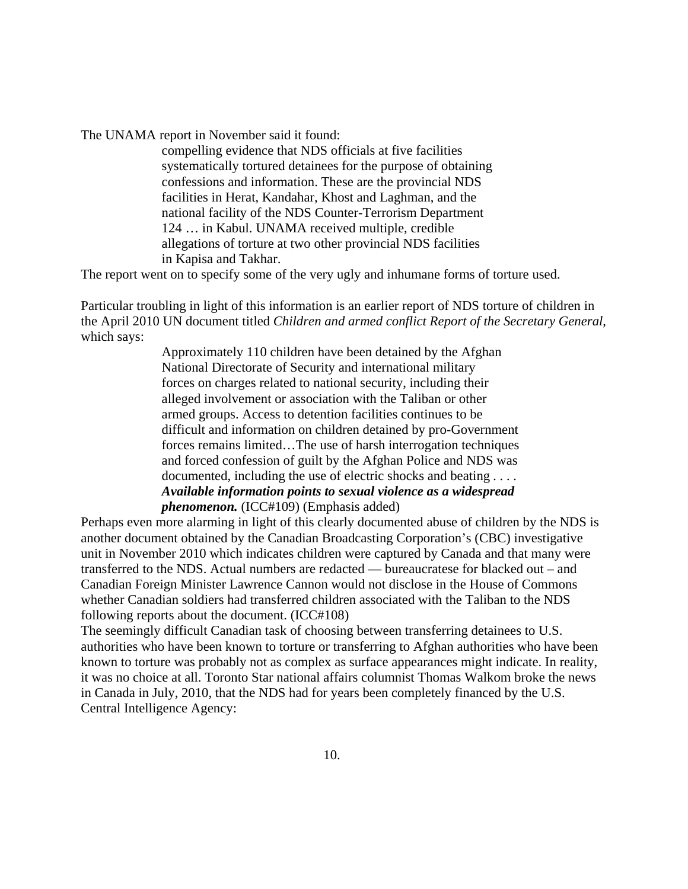The UNAMA report in November said it found:

compelling evidence that NDS officials at five facilities systematically tortured detainees for the purpose of obtaining confessions and information. These are the provincial NDS facilities in Herat, Kandahar, Khost and Laghman, and the national facility of the NDS Counter-Terrorism Department 124 … in Kabul. UNAMA received multiple, credible allegations of torture at two other provincial NDS facilities in Kapisa and Takhar.

The report went on to specify some of the very ugly and inhumane forms of torture used.

Particular troubling in light of this information is an earlier report of NDS torture of children in the April 2010 UN document titled *Children and armed conflict Report of the Secretary General*, which says:

> Approximately 110 children have been detained by the Afghan National Directorate of Security and international military forces on charges related to national security, including their alleged involvement or association with the Taliban or other armed groups. Access to detention facilities continues to be difficult and information on children detained by pro-Government forces remains limited…The use of harsh interrogation techniques and forced confession of guilt by the Afghan Police and NDS was documented, including the use of electric shocks and beating *. . . . Available information points to sexual violence as a widespread phenomenon.* (ICC#109) (Emphasis added)

Perhaps even more alarming in light of this clearly documented abuse of children by the NDS is another document obtained by the Canadian Broadcasting Corporation's (CBC) investigative unit in November 2010 which indicates children were captured by Canada and that many were transferred to the NDS. Actual numbers are redacted — bureaucratese for blacked out – and Canadian Foreign Minister Lawrence Cannon would not disclose in the House of Commons whether Canadian soldiers had transferred children associated with the Taliban to the NDS following reports about the document. (ICC#108)

The seemingly difficult Canadian task of choosing between transferring detainees to U.S. authorities who have been known to torture or transferring to Afghan authorities who have been known to torture was probably not as complex as surface appearances might indicate. In reality, it was no choice at all. Toronto Star national affairs columnist Thomas Walkom broke the news in Canada in July, 2010, that the NDS had for years been completely financed by the U.S. Central Intelligence Agency: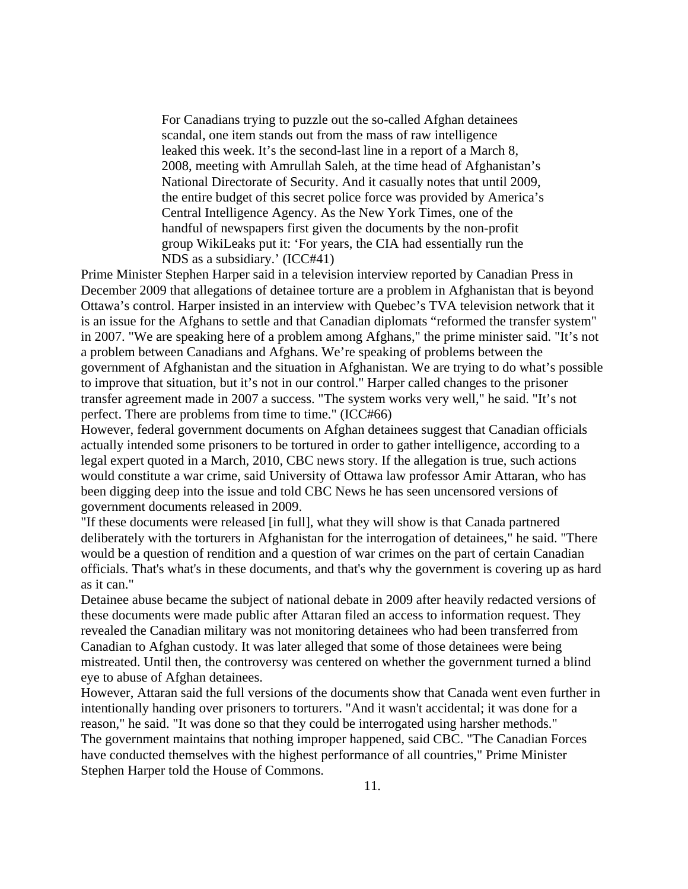For Canadians trying to puzzle out the so-called Afghan detainees scandal, one item stands out from the mass of raw intelligence leaked this week. It's the second-last line in a report of a March 8, 2008, meeting with Amrullah Saleh, at the time head of Afghanistan's National Directorate of Security. And it casually notes that until 2009, the entire budget of this secret police force was provided by America's Central Intelligence Agency. As the New York Times, one of the handful of newspapers first given the documents by the non-profit group WikiLeaks put it: 'For years, the CIA had essentially run the NDS as a subsidiary.' (ICC#41)

Prime Minister Stephen Harper said in a television interview reported by Canadian Press in December 2009 that allegations of detainee torture are a problem in Afghanistan that is beyond Ottawa's control. Harper insisted in an interview with Quebec's TVA television network that it is an issue for the Afghans to settle and that Canadian diplomats "reformed the transfer system" in 2007. "We are speaking here of a problem among Afghans," the prime minister said. "It's not a problem between Canadians and Afghans. We're speaking of problems between the government of Afghanistan and the situation in Afghanistan. We are trying to do what's possible to improve that situation, but it's not in our control." Harper called changes to the prisoner transfer agreement made in 2007 a success. "The system works very well," he said. "It's not perfect. There are problems from time to time." (ICC#66)

However, federal government documents on Afghan detainees suggest that Canadian officials actually intended some prisoners to be tortured in order to gather intelligence, according to a legal expert quoted in a March, 2010, CBC news story. If the allegation is true, such actions would constitute a war crime, said University of Ottawa law professor Amir Attaran, who has been digging deep into the issue and told CBC News he has seen uncensored versions of government documents released in 2009.

"If these documents were released [in full], what they will show is that Canada partnered deliberately with the torturers in Afghanistan for the interrogation of detainees," he said. "There would be a question of rendition and a question of war crimes on the part of certain Canadian officials. That's what's in these documents, and that's why the government is covering up as hard as it can."

Detainee abuse became the subject of national debate in 2009 after heavily redacted versions of these documents were made public after Attaran filed an access to information request. They revealed the Canadian military was not monitoring detainees who had been transferred from Canadian to Afghan custody. It was later alleged that some of those detainees were being mistreated. Until then, the controversy was centered on whether the government turned a blind eye to abuse of Afghan detainees.

However, Attaran said the full versions of the documents show that Canada went even further in intentionally handing over prisoners to torturers. "And it wasn't accidental; it was done for a reason," he said. "It was done so that they could be interrogated using harsher methods." The government maintains that nothing improper happened, said CBC. "The Canadian Forces have conducted themselves with the highest performance of all countries," Prime Minister Stephen Harper told the House of Commons.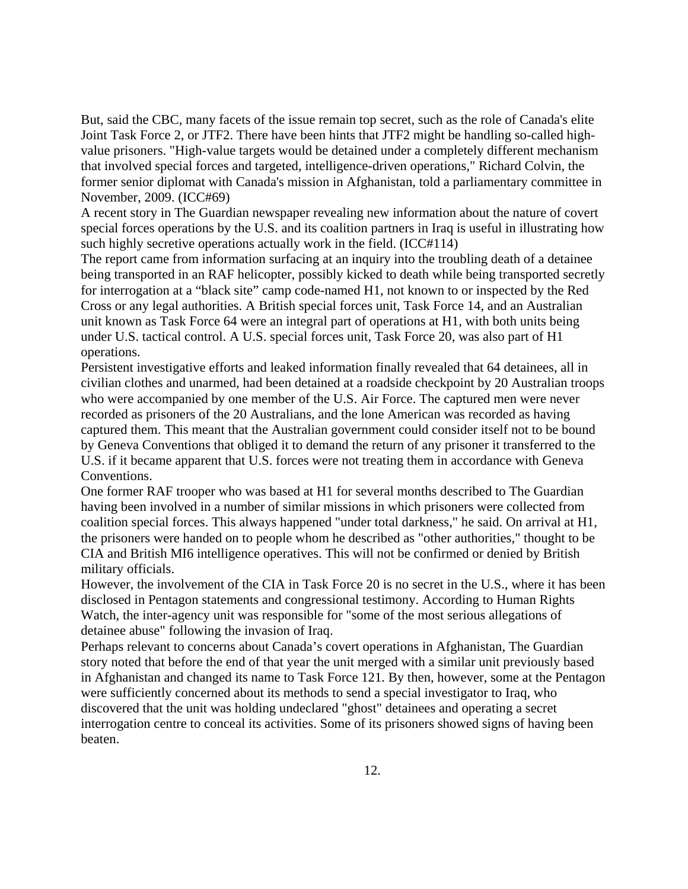But, said the CBC, many facets of the issue remain top secret, such as the role of Canada's elite Joint Task Force 2, or JTF2. There have been hints that JTF2 might be handling so-called highvalue prisoners. "High-value targets would be detained under a completely different mechanism that involved special forces and targeted, intelligence-driven operations," Richard Colvin, the former senior diplomat with Canada's mission in Afghanistan, told a parliamentary committee in November, 2009. (ICC#69)

A recent story in The Guardian newspaper revealing new information about the nature of covert special forces operations by the U.S. and its coalition partners in Iraq is useful in illustrating how such highly secretive operations actually work in the field. (ICC#114)

The report came from information surfacing at an inquiry into the troubling death of a detainee being transported in an RAF helicopter, possibly kicked to death while being transported secretly for interrogation at a "black site" camp code-named H1, not known to or inspected by the Red Cross or any legal authorities. A British special forces unit, Task Force 14, and an Australian unit known as Task Force 64 were an integral part of operations at H1, with both units being under U.S. tactical control. A U.S. special forces unit, Task Force 20, was also part of H1 operations.

Persistent investigative efforts and leaked information finally revealed that 64 detainees, all in civilian clothes and unarmed, had been detained at a roadside checkpoint by 20 Australian troops who were accompanied by one member of the U.S. Air Force. The captured men were never recorded as prisoners of the 20 Australians, and the lone American was recorded as having captured them. This meant that the Australian government could consider itself not to be bound by Geneva Conventions that obliged it to demand the return of any prisoner it transferred to the U.S. if it became apparent that U.S. forces were not treating them in accordance with Geneva Conventions.

One former RAF trooper who was based at H1 for several months described to The Guardian having been involved in a number of similar missions in which prisoners were collected from coalition special forces. This always happened "under total darkness," he said. On arrival at H1, the prisoners were handed on to people whom he described as "other authorities," thought to be CIA and British MI6 intelligence operatives. This will not be confirmed or denied by British military officials.

However, the involvement of the CIA in Task Force 20 is no secret in the U.S., where it has been disclosed in Pentagon statements and congressional testimony. According to Human Rights Watch, the inter-agency unit was responsible for "some of the most serious allegations of detainee abuse" following the invasion of Iraq.

Perhaps relevant to concerns about Canada's covert operations in Afghanistan, The Guardian story noted that before the end of that year the unit merged with a similar unit previously based in Afghanistan and changed its name to Task Force 121. By then, however, some at the Pentagon were sufficiently concerned about its methods to send a special investigator to Iraq, who discovered that the unit was holding undeclared "ghost" detainees and operating a secret interrogation centre to conceal its activities. Some of its prisoners showed signs of having been beaten.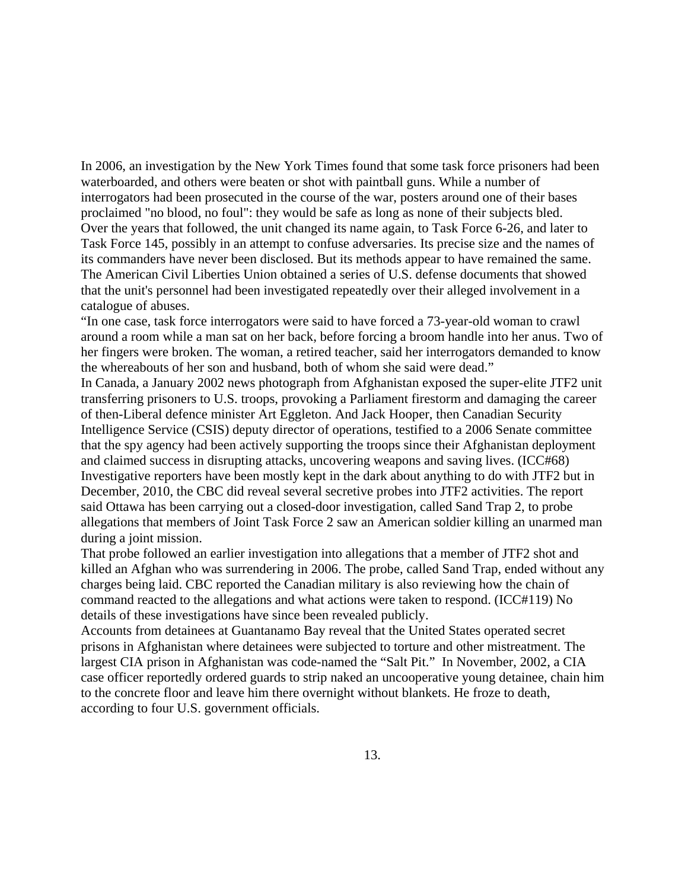In 2006, an investigation by the New York Times found that some task force prisoners had been waterboarded, and others were beaten or shot with paintball guns. While a number of interrogators had been prosecuted in the course of the war, posters around one of their bases proclaimed "no blood, no foul": they would be safe as long as none of their subjects bled. Over the years that followed, the unit changed its name again, to Task Force 6-26, and later to Task Force 145, possibly in an attempt to confuse adversaries. Its precise size and the names of its commanders have never been disclosed. But its methods appear to have remained the same. The American Civil Liberties Union obtained a series of U.S. defense documents that showed that the unit's personnel had been investigated repeatedly over their alleged involvement in a catalogue of abuses.

"In one case, task force interrogators were said to have forced a 73-year-old woman to crawl around a room while a man sat on her back, before forcing a broom handle into her anus. Two of her fingers were broken. The woman, a retired teacher, said her interrogators demanded to know the whereabouts of her son and husband, both of whom she said were dead."

In Canada, a January 2002 news photograph from Afghanistan exposed the super-elite JTF2 unit transferring prisoners to U.S. troops, provoking a Parliament firestorm and damaging the career of then-Liberal defence minister Art Eggleton. And Jack Hooper, then Canadian Security Intelligence Service (CSIS) deputy director of operations, testified to a 2006 Senate committee that the spy agency had been actively supporting the troops since their Afghanistan deployment and claimed success in disrupting attacks, uncovering weapons and saving lives. (ICC#68) Investigative reporters have been mostly kept in the dark about anything to do with JTF2 but in December, 2010, the CBC did reveal several secretive probes into JTF2 activities. The report said Ottawa has been carrying out a closed-door investigation, called Sand Trap 2, to probe allegations that members of Joint Task Force 2 saw an American soldier killing an unarmed man during a joint mission.

That probe followed an earlier investigation into allegations that a member of JTF2 shot and killed an Afghan who was surrendering in 2006. The probe, called Sand Trap, ended without any charges being laid. CBC reported the Canadian military is also reviewing how the chain of command reacted to the allegations and what actions were taken to respond. (ICC#119) No details of these investigations have since been revealed publicly.

Accounts from detainees at Guantanamo Bay reveal that the United States operated secret prisons in Afghanistan where detainees were subjected to torture and other mistreatment. The largest CIA prison in Afghanistan was code-named the "Salt Pit." In November, 2002, a CIA case officer reportedly ordered guards to strip naked an uncooperative young detainee, chain him to the concrete floor and leave him there overnight without blankets. He froze to death, according to four U.S. government officials.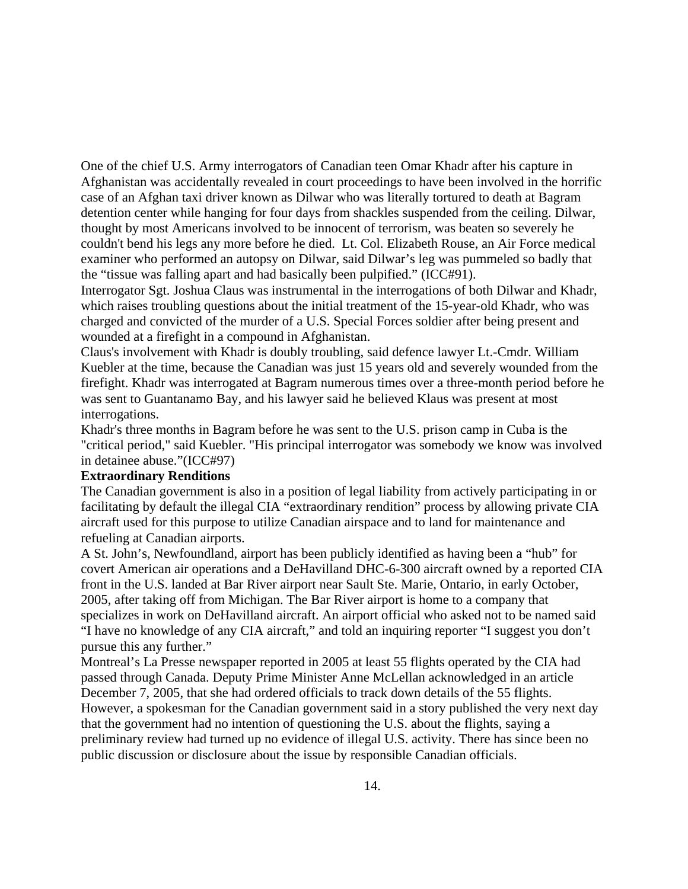One of the chief U.S. Army interrogators of Canadian teen Omar Khadr after his capture in Afghanistan was accidentally revealed in court proceedings to have been involved in the horrific case of an Afghan taxi driver known as Dilwar who was literally tortured to death at Bagram detention center while hanging for four days from shackles suspended from the ceiling. Dilwar, thought by most Americans involved to be innocent of terrorism, was beaten so severely he couldn't bend his legs any more before he died. Lt. Col. Elizabeth Rouse, an Air Force medical examiner who performed an autopsy on Dilwar, said Dilwar's leg was pummeled so badly that the "tissue was falling apart and had basically been pulpified." (ICC#91).

Interrogator Sgt. Joshua Claus was instrumental in the interrogations of both Dilwar and Khadr, which raises troubling questions about the initial treatment of the 15-year-old Khadr, who was charged and convicted of the murder of a U.S. Special Forces soldier after being present and wounded at a firefight in a compound in Afghanistan.

Claus's involvement with Khadr is doubly troubling, said defence lawyer Lt.-Cmdr. William Kuebler at the time, because the Canadian was just 15 years old and severely wounded from the firefight. Khadr was interrogated at Bagram numerous times over a three-month period before he was sent to Guantanamo Bay, and his lawyer said he believed Klaus was present at most interrogations.

Khadr's three months in Bagram before he was sent to the U.S. prison camp in Cuba is the "critical period," said Kuebler. "His principal interrogator was somebody we know was involved in detainee abuse."(ICC#97)

## **Extraordinary Renditions**

The Canadian government is also in a position of legal liability from actively participating in or facilitating by default the illegal CIA "extraordinary rendition" process by allowing private CIA aircraft used for this purpose to utilize Canadian airspace and to land for maintenance and refueling at Canadian airports.

A St. John's, Newfoundland, airport has been publicly identified as having been a "hub" for covert American air operations and a DeHavilland DHC-6-300 aircraft owned by a reported CIA front in the U.S. landed at Bar River airport near Sault Ste. Marie, Ontario, in early October, 2005, after taking off from Michigan. The Bar River airport is home to a company that specializes in work on DeHavilland aircraft. An airport official who asked not to be named said "I have no knowledge of any CIA aircraft," and told an inquiring reporter "I suggest you don't pursue this any further."

Montreal's La Presse newspaper reported in 2005 at least 55 flights operated by the CIA had passed through Canada. Deputy Prime Minister Anne McLellan acknowledged in an article December 7, 2005, that she had ordered officials to track down details of the 55 flights. However, a spokesman for the Canadian government said in a story published the very next day that the government had no intention of questioning the U.S. about the flights, saying a preliminary review had turned up no evidence of illegal U.S. activity. There has since been no public discussion or disclosure about the issue by responsible Canadian officials.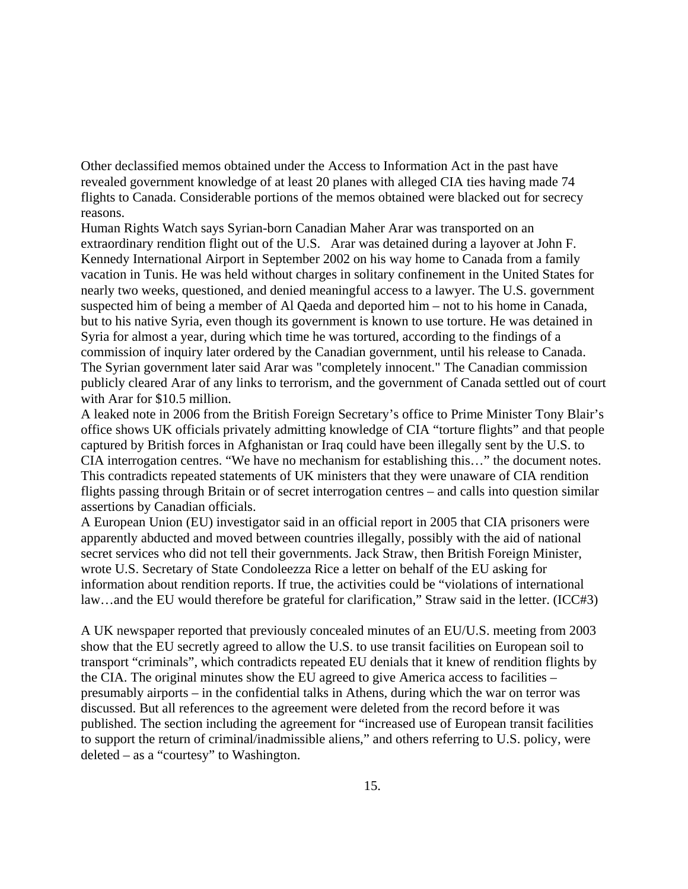Other declassified memos obtained under the Access to Information Act in the past have revealed government knowledge of at least 20 planes with alleged CIA ties having made 74 flights to Canada. Considerable portions of the memos obtained were blacked out for secrecy reasons.

Human Rights Watch says Syrian-born Canadian Maher Arar was transported on an extraordinary rendition flight out of the U.S. Arar was detained during a layover at John F. Kennedy International Airport in September 2002 on his way home to Canada from a family vacation in Tunis. He was held without charges in solitary confinement in the United States for nearly two weeks, questioned, and denied meaningful access to a lawyer. The U.S. government suspected him of being a member of Al Qaeda and deported him – not to his home in Canada, but to his native Syria, even though its government is known to use torture. He was detained in Syria for almost a year, during which time he was tortured, according to the findings of a commission of inquiry later ordered by the Canadian government, until his release to Canada. The Syrian government later said Arar was "completely innocent." The Canadian commission publicly cleared Arar of any links to terrorism, and the government of Canada settled out of court with Arar for \$10.5 million.

A leaked note in 2006 from the British Foreign Secretary's office to Prime Minister Tony Blair's office shows UK officials privately admitting knowledge of CIA "torture flights" and that people captured by British forces in Afghanistan or Iraq could have been illegally sent by the U.S. to CIA interrogation centres. "We have no mechanism for establishing this…" the document notes. This contradicts repeated statements of UK ministers that they were unaware of CIA rendition flights passing through Britain or of secret interrogation centres – and calls into question similar assertions by Canadian officials.

A European Union (EU) investigator said in an official report in 2005 that CIA prisoners were apparently abducted and moved between countries illegally, possibly with the aid of national secret services who did not tell their governments. Jack Straw, then British Foreign Minister, wrote U.S. Secretary of State Condoleezza Rice a letter on behalf of the EU asking for information about rendition reports. If true, the activities could be "violations of international law…and the EU would therefore be grateful for clarification," Straw said in the letter. (ICC#3)

A UK newspaper reported that previously concealed minutes of an EU/U.S. meeting from 2003 show that the EU secretly agreed to allow the U.S. to use transit facilities on European soil to transport "criminals", which contradicts repeated EU denials that it knew of rendition flights by the CIA. The original minutes show the EU agreed to give America access to facilities – presumably airports – in the confidential talks in Athens, during which the war on terror was discussed. But all references to the agreement were deleted from the record before it was published. The section including the agreement for "increased use of European transit facilities to support the return of criminal/inadmissible aliens," and others referring to U.S. policy, were deleted – as a "courtesy" to Washington.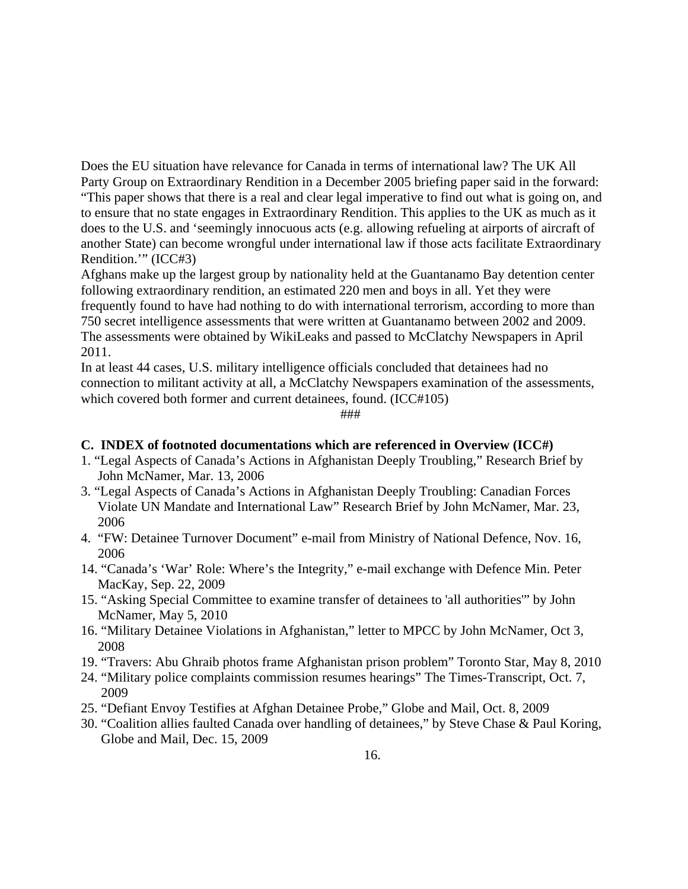Does the EU situation have relevance for Canada in terms of international law? The UK All Party Group on Extraordinary Rendition in a December 2005 briefing paper said in the forward: "This paper shows that there is a real and clear legal imperative to find out what is going on, and to ensure that no state engages in Extraordinary Rendition. This applies to the UK as much as it does to the U.S. and 'seemingly innocuous acts (e.g. allowing refueling at airports of aircraft of another State) can become wrongful under international law if those acts facilitate Extraordinary Rendition.'" (ICC#3)

Afghans make up the largest group by nationality held at the Guantanamo Bay detention center following extraordinary rendition, an estimated 220 men and boys in all. Yet they were frequently found to have had nothing to do with international terrorism, according to more than 750 secret intelligence assessments that were written at Guantanamo between 2002 and 2009. The assessments were obtained by WikiLeaks and passed to McClatchy Newspapers in April 2011.

In at least 44 cases, U.S. military intelligence officials concluded that detainees had no connection to militant activity at all, a McClatchy Newspapers examination of the assessments, which covered both former and current detainees, found. (ICC#105)

###

#### **C. INDEX of footnoted documentations which are referenced in Overview (ICC#)**

- 1. "Legal Aspects of Canada's Actions in Afghanistan Deeply Troubling," Research Brief by John McNamer, Mar. 13, 2006
- 3. "Legal Aspects of Canada's Actions in Afghanistan Deeply Troubling: Canadian Forces Violate UN Mandate and International Law" Research Brief by John McNamer, Mar. 23, 2006
- 4. "FW: Detainee Turnover Document" e-mail from Ministry of National Defence, Nov. 16, 2006
- 14. "Canada's 'War' Role: Where's the Integrity," e-mail exchange with Defence Min. Peter MacKay, Sep. 22, 2009
- 15. "Asking Special Committee to examine transfer of detainees to 'all authorities'" by John McNamer, May 5, 2010
- 16. "Military Detainee Violations in Afghanistan," letter to MPCC by John McNamer, Oct 3, 2008
- 19. "Travers: Abu Ghraib photos frame Afghanistan prison problem" Toronto Star, May 8, 2010
- 24. "Military police complaints commission resumes hearings" The Times-Transcript, Oct. 7, 2009
- 25. "Defiant Envoy Testifies at Afghan Detainee Probe," Globe and Mail, Oct. 8, 2009
- 30. "Coalition allies faulted Canada over handling of detainees," by Steve Chase & Paul Koring, Globe and Mail, Dec. 15, 2009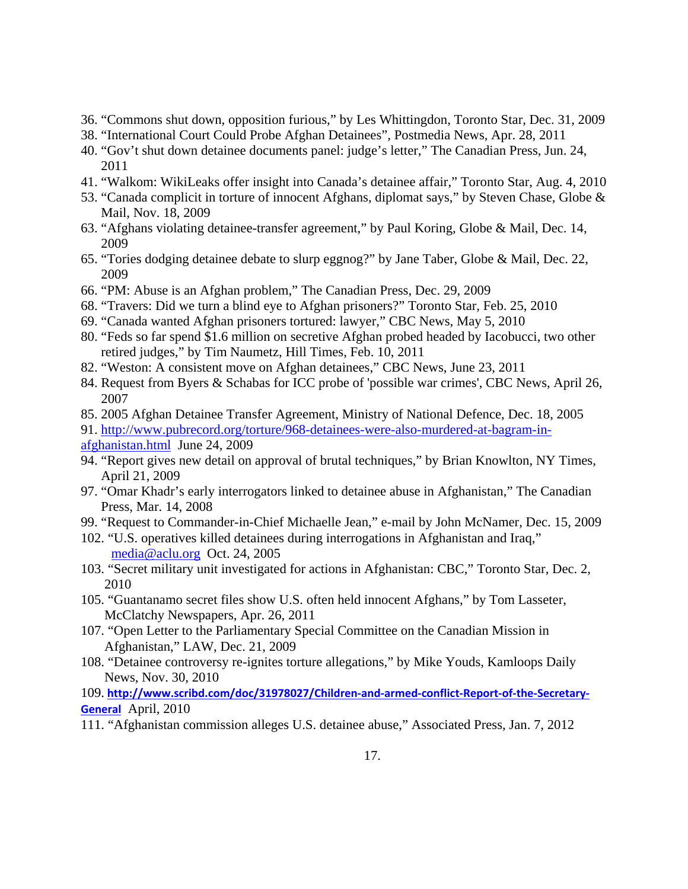- 36. "Commons shut down, opposition furious," by Les Whittingdon, Toronto Star, Dec. 31, 2009
- 38. "International Court Could Probe Afghan Detainees", Postmedia News, Apr. 28, 2011
- 40. "Gov't shut down detainee documents panel: judge's letter," The Canadian Press, Jun. 24, 2011
- 41. "Walkom: WikiLeaks offer insight into Canada's detainee affair," Toronto Star, Aug. 4, 2010
- 53. "Canada complicit in torture of innocent Afghans, diplomat says," by Steven Chase, Globe & Mail, Nov. 18, 2009
- 63. "Afghans violating detainee-transfer agreement," by Paul Koring, Globe & Mail, Dec. 14, 2009
- 65. "Tories dodging detainee debate to slurp eggnog?" by Jane Taber, Globe & Mail, Dec. 22, 2009
- 66. "PM: Abuse is an Afghan problem," The Canadian Press, Dec. 29, 2009
- 68. "Travers: Did we turn a blind eye to Afghan prisoners?" Toronto Star, Feb. 25, 2010
- 69. "Canada wanted Afghan prisoners tortured: lawyer," CBC News, May 5, 2010
- 80. "Feds so far spend \$1.6 million on secretive Afghan probed headed by Iacobucci, two other retired judges," by Tim Naumetz, Hill Times, Feb. 10, 2011
- 82. "Weston: A consistent move on Afghan detainees," CBC News, June 23, 2011
- 84. Request from Byers & Schabas for ICC probe of 'possible war crimes', CBC News, April 26, 2007
- 85. 2005 Afghan Detainee Transfer Agreement, Ministry of National Defence, Dec. 18, 2005
- 91. [http://www.pubrecord.org/torture/968-detainees-were-also-murdered-at-bagram-in-](http://www.pubrecord.org/torture/968-detainees-were-also-murdered-at-bagram-in-%20%20%20afghanistan.html)
- [afghanistan.html](http://www.pubrecord.org/torture/968-detainees-were-also-murdered-at-bagram-in-%20%20%20afghanistan.html) June 24, 2009
- 94. "Report gives new detail on approval of brutal techniques," by Brian Knowlton, NY Times, April 21, 2009
- 97. "Omar Khadr's early interrogators linked to detainee abuse in Afghanistan," The Canadian Press, Mar. 14, 2008
- 99. "Request to Commander-in-Chief Michaelle Jean," e-mail by John McNamer, Dec. 15, 2009
- 102. "U.S. operatives killed detainees during interrogations in Afghanistan and Iraq," [media@aclu.org](mailto:media@aclu.org) Oct. 24, 2005
- 103. "Secret military unit investigated for actions in Afghanistan: CBC," Toronto Star, Dec. 2, 2010
- 105. "Guantanamo secret files show U.S. often held innocent Afghans," by Tom Lasseter, McClatchy Newspapers, Apr. 26, 2011
- 107. "Open Letter to the Parliamentary Special Committee on the Canadian Mission in Afghanistan," LAW, Dec. 21, 2009
- 108. "Detainee controversy re-ignites torture allegations," by Mike Youds, Kamloops Daily News, Nov. 30, 2010
- 109. **[http://www.scribd.com/doc/31978027/Children](http://www.scribd.com/doc/31978027/Children-and-armed-conflict-Report-of-the-Secretary-General)‐and‐armed‐conflict‐Report‐of‐the‐Secretary‐ [General](http://www.scribd.com/doc/31978027/Children-and-armed-conflict-Report-of-the-Secretary-General)** April, 2010
- 111. "Afghanistan commission alleges U.S. detainee abuse," Associated Press, Jan. 7, 2012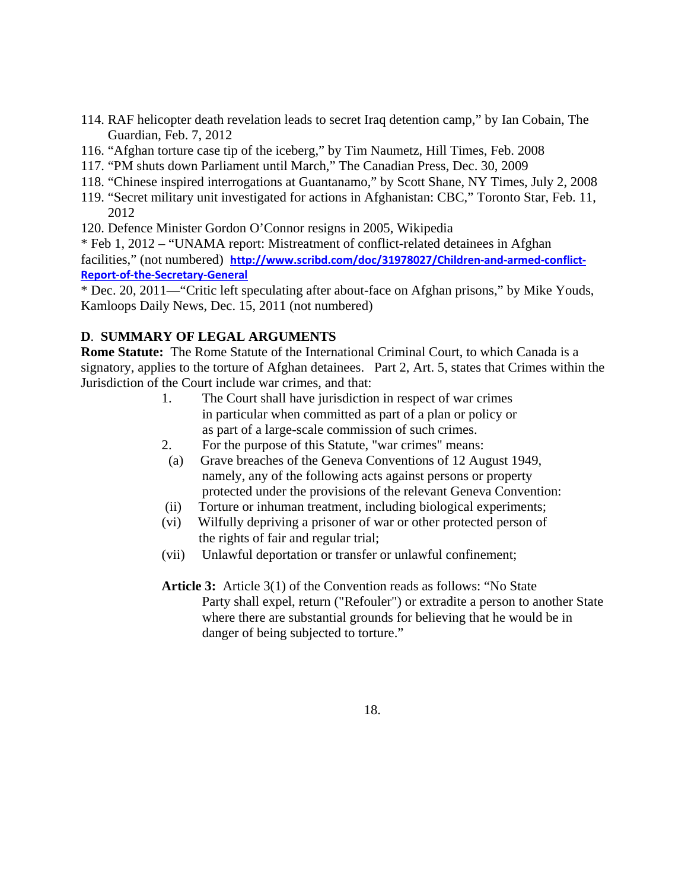- 114. RAF helicopter death revelation leads to secret Iraq detention camp," by Ian Cobain, The Guardian, Feb. 7, 2012
- 116. "Afghan torture case tip of the iceberg," by Tim Naumetz, Hill Times, Feb. 2008
- 117. "PM shuts down Parliament until March," The Canadian Press, Dec. 30, 2009
- 118. "Chinese inspired interrogations at Guantanamo," by Scott Shane, NY Times, July 2, 2008
- 119. "Secret military unit investigated for actions in Afghanistan: CBC," Toronto Star, Feb. 11, 2012
- 120. Defence Minister Gordon O'Connor resigns in 2005, Wikipedia

\* Feb 1, 2012 – "UNAMA report: Mistreatment of conflict-related detainees in Afghan facilities," (not numbered) [http://www.scribd.com/doc/31978027/Children](http://www.scribd.com/doc/31978027/Children-and-armed-conflict-Report-of-the-Secretary-General)-and-armed-conflict-**Report‐of‐the‐[Secretary](http://www.scribd.com/doc/31978027/Children-and-armed-conflict-Report-of-the-Secretary-General)‐General**

\* Dec. 20, 2011—"Critic left speculating after about-face on Afghan prisons," by Mike Youds, Kamloops Daily News, Dec. 15, 2011 (not numbered)

# **D**. **SUMMARY OF LEGAL ARGUMENTS**

**Rome Statute:** The Rome Statute of the International Criminal Court, to which Canada is a signatory, applies to the torture of Afghan detainees. Part 2, Art. 5, states that Crimes within the Jurisdiction of the Court include war crimes, and that:

- 1. The Court shall have jurisdiction in respect of war crimes in particular when committed as part of a plan or policy or as part of a large-scale commission of such crimes.
- 2. For the purpose of this Statute, "war crimes" means:
- (a) Grave breaches of the Geneva Conventions of 12 August 1949, namely, any of the following acts against persons or property protected under the provisions of the relevant Geneva Convention:
- (ii) Torture or inhuman treatment, including biological experiments;
- (vi) Wilfully depriving a prisoner of war or other protected person of the rights of fair and regular trial;
- (vii) Unlawful deportation or transfer or unlawful confinement;
- **Article 3:** Article 3(1) of the Convention reads as follows: "No State Party shall expel, return ("Refouler") or extradite a person to another State where there are substantial grounds for believing that he would be in danger of being subjected to torture."

18.